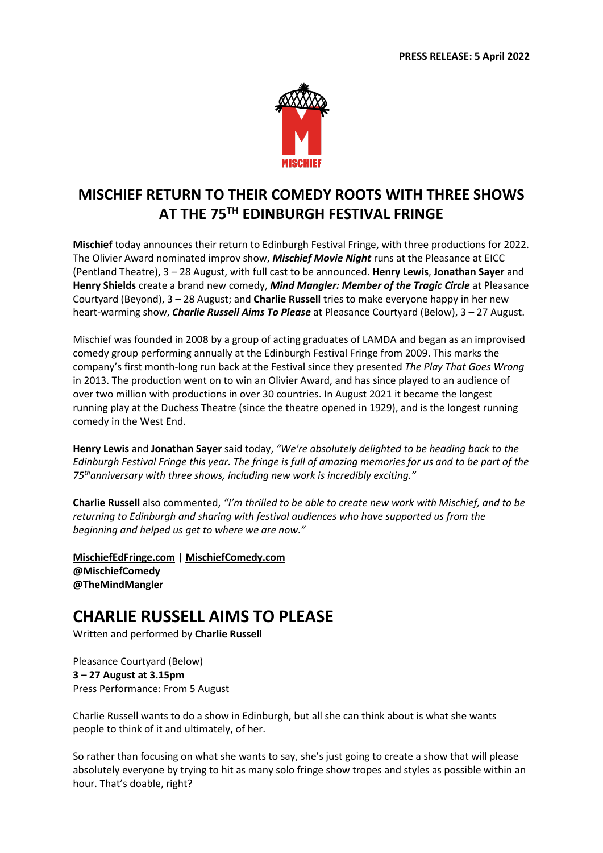

## **MISCHIEF RETURN TO THEIR COMEDY ROOTS WITH THREE SHOWS AT THE 75TH EDINBURGH FESTIVAL FRINGE**

**Mischief** today announces their return to Edinburgh Festival Fringe, with three productions for 2022. The Olivier Award nominated improv show, *Mischief Movie Night* runs at the Pleasance at EICC (Pentland Theatre), 3 – 28 August, with full cast to be announced. **Henry Lewis**, **Jonathan Sayer** and **Henry Shields** create a brand new comedy, *Mind Mangler: Member of the Tragic Circle* at Pleasance Courtyard (Beyond), 3 – 28 August; and **Charlie Russell** tries to make everyone happy in her new heart-warming show, *Charlie Russell Aims To Please* at Pleasance Courtyard (Below), 3 – 27 August.

Mischief was founded in 2008 by a group of acting graduates of LAMDA and began as an improvised comedy group performing annually at the Edinburgh Festival Fringe from 2009. This marks the company's first month-long run back at the Festival since they presented *The Play That Goes Wrong*  in 2013. The production went on to win an Olivier Award, and has since played to an audience of over two million with productions in over 30 countries. In August 2021 it became the longest running play at the Duchess Theatre (since the theatre opened in 1929), and is the longest running comedy in the West End.

**Henry Lewis** and **Jonathan Sayer** said today, *"We're absolutely delighted to be heading back to the Edinburgh Festival Fringe this year. The fringe is full of amazing memories for us and to be part of the 75thanniversary with three shows, including new work is incredibly exciting."*

**Charlie Russell** also commented, *"I'm thrilled to be able to create new work with Mischief, and to be returning to Edinburgh and sharing with festival audiences who have supported us from the beginning and helped us get to where we are now."*

**[MischiefEdFringe.com](http://www.mischiefedfringe.com/)** | **[MischiefComedy.com](http://www.mischiefcomedy.com/) @MischiefComedy @TheMindMangler**

# **CHARLIE RUSSELL AIMS TO PLEASE**

Written and performed by **Charlie Russell**

Pleasance Courtyard (Below) **3 – 27 August at 3.15pm** Press Performance: From 5 August

Charlie Russell wants to do a show in Edinburgh, but all she can think about is what she wants people to think of it and ultimately, of her.

So rather than focusing on what she wants to say, she's just going to create a show that will please absolutely everyone by trying to hit as many solo fringe show tropes and styles as possible within an hour. That's doable, right?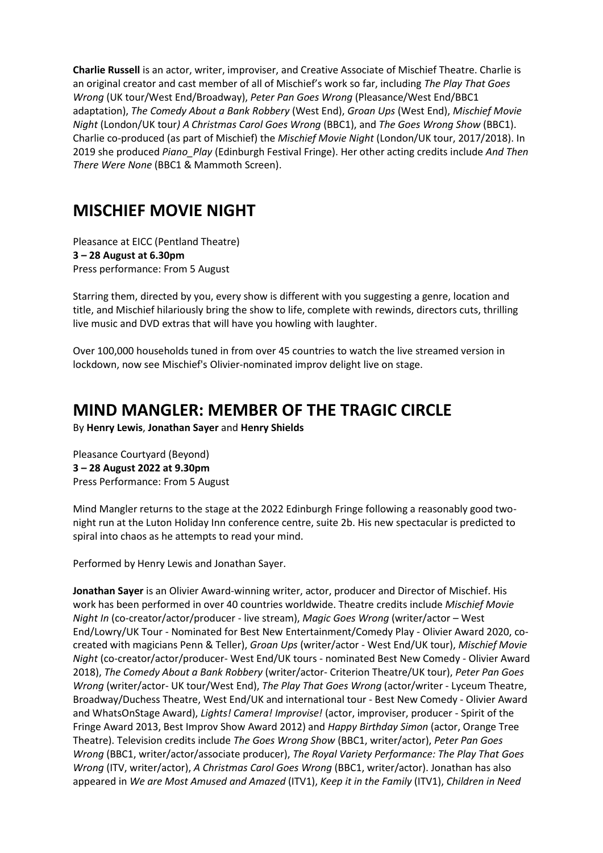**Charlie Russell** is an actor, writer, improviser, and Creative Associate of Mischief Theatre. Charlie is an original creator and cast member of all of Mischief's work so far, including *The Play That Goes Wrong* (UK tour/West End/Broadway), *Peter Pan Goes Wrong* (Pleasance/West End/BBC1 adaptation), *The Comedy About a Bank Robbery* (West End), *Groan Ups* (West End), *Mischief Movie Night* (London/UK tour*) A Christmas Carol Goes Wrong* (BBC1), and *The Goes Wrong Show* (BBC1). Charlie co-produced (as part of Mischief) the *Mischief Movie Night* (London/UK tour, 2017/2018). In 2019 she produced *Piano\_Play* (Edinburgh Festival Fringe). Her other acting credits include *And Then There Were None* (BBC1 & Mammoth Screen).

# **MISCHIEF MOVIE NIGHT**

Pleasance at EICC (Pentland Theatre) **3 – 28 August at 6.30pm** Press performance: From 5 August

Starring them, directed by you, every show is different with you suggesting a genre, location and title, and Mischief hilariously bring the show to life, complete with rewinds, directors cuts, thrilling live music and DVD extras that will have you howling with laughter.

Over 100,000 households tuned in from over 45 countries to watch the live streamed version in lockdown, now see Mischief's Olivier-nominated improv delight live on stage.

# **MIND MANGLER: MEMBER OF THE TRAGIC CIRCLE**

By **Henry Lewis**, **Jonathan Sayer** and **Henry Shields**

Pleasance Courtyard (Beyond) **3 – 28 August 2022 at 9.30pm** Press Performance: From 5 August

Mind Mangler returns to the stage at the 2022 Edinburgh Fringe following a reasonably good twonight run at the Luton Holiday Inn conference centre, suite 2b. His new spectacular is predicted to spiral into chaos as he attempts to read your mind.

Performed by Henry Lewis and Jonathan Sayer.

**Jonathan Sayer** is an Olivier Award-winning writer, actor, producer and Director of Mischief. His work has been performed in over 40 countries worldwide. Theatre credits include *Mischief Movie Night In* (co-creator/actor/producer - live stream), *Magic Goes Wrong* (writer/actor – West End/Lowry/UK Tour - Nominated for Best New Entertainment/Comedy Play - Olivier Award 2020, cocreated with magicians Penn & Teller), *Groan Ups* (writer/actor - West End/UK tour), *Mischief Movie Night* (co-creator/actor/producer- West End/UK tours - nominated Best New Comedy - Olivier Award 2018), *The Comedy About a Bank Robbery* (writer/actor- Criterion Theatre/UK tour), *Peter Pan Goes Wrong* (writer/actor- UK tour/West End), *The Play That Goes Wrong* (actor/writer - Lyceum Theatre, Broadway/Duchess Theatre, West End/UK and international tour - Best New Comedy - Olivier Award and WhatsOnStage Award), *Lights! Camera! Improvise!* (actor, improviser, producer - Spirit of the Fringe Award 2013, Best Improv Show Award 2012) and *Happy Birthday Simon* (actor, Orange Tree Theatre). Television credits include *The Goes Wrong Show* (BBC1, writer/actor), *Peter Pan Goes Wrong* (BBC1, writer/actor/associate producer), *The Royal Variety Performance: The Play That Goes Wrong* (ITV, writer/actor), *A Christmas Carol Goes Wrong* (BBC1, writer/actor). Jonathan has also appeared in *We are Most Amused and Amazed* (ITV1), *Keep it in the Family* (ITV1), *Children in Need*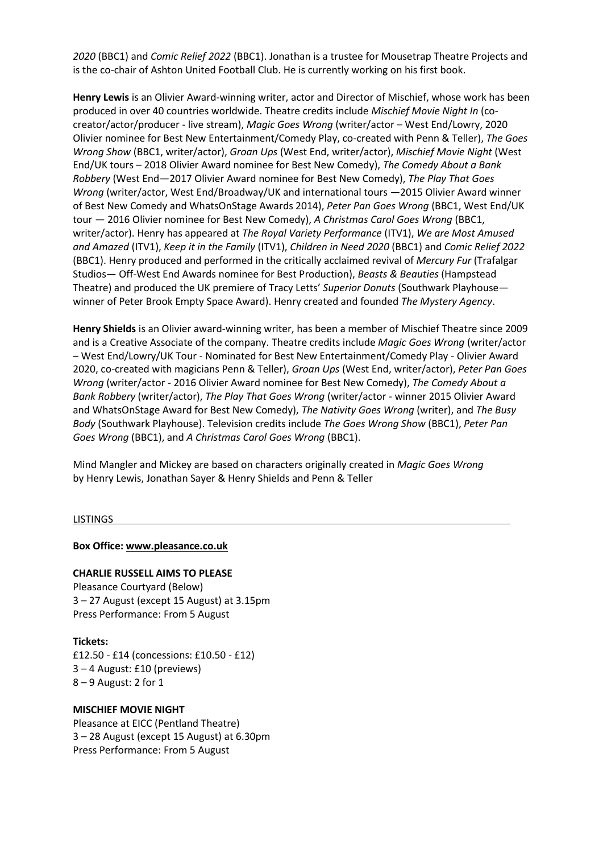*2020* (BBC1) and *Comic Relief 2022* (BBC1). Jonathan is a trustee for Mousetrap Theatre Projects and is the co-chair of Ashton United Football Club. He is currently working on his first book.

**Henry Lewis** is an Olivier Award-winning writer, actor and Director of Mischief, whose work has been produced in over 40 countries worldwide. Theatre credits include *Mischief Movie Night In* (cocreator/actor/producer - live stream), *Magic Goes Wrong* (writer/actor – West End/Lowry, 2020 Olivier nominee for Best New Entertainment/Comedy Play, co-created with Penn & Teller), *The Goes Wrong Show* (BBC1, writer/actor), *Groan Ups* (West End, writer/actor), *Mischief Movie Night* (West End/UK tours – 2018 Olivier Award nominee for Best New Comedy), *The Comedy About a Bank Robbery* (West End—2017 Olivier Award nominee for Best New Comedy), *The Play That Goes Wrong* (writer/actor, West End/Broadway/UK and international tours —2015 Olivier Award winner of Best New Comedy and WhatsOnStage Awards 2014), *Peter Pan Goes Wrong* (BBC1, West End/UK tour — 2016 Olivier nominee for Best New Comedy), *A Christmas Carol Goes Wrong* (BBC1, writer/actor). Henry has appeared at *The Royal Variety Performance* (ITV1), *We are Most Amused and Amazed* (ITV1), *Keep it in the Family* (ITV1), *Children in Need 2020* (BBC1) and *Comic Relief 2022* (BBC1). Henry produced and performed in the critically acclaimed revival of *Mercury Fur* (Trafalgar Studios— Off-West End Awards nominee for Best Production), *Beasts & Beauties* (Hampstead Theatre) and produced the UK premiere of Tracy Letts' *Superior Donuts* (Southwark Playhouse winner of Peter Brook Empty Space Award). Henry created and founded *The Mystery Agency*.

**Henry Shields** is an Olivier award-winning writer, has been a member of Mischief Theatre since 2009 and is a Creative Associate of the company. Theatre credits include *Magic Goes Wrong* (writer/actor – West End/Lowry/UK Tour - Nominated for Best New Entertainment/Comedy Play - Olivier Award 2020, co-created with magicians Penn & Teller), *Groan Ups* (West End, writer/actor), *Peter Pan Goes Wrong* (writer/actor - 2016 Olivier Award nominee for Best New Comedy), *The Comedy About a Bank Robbery* (writer/actor), *The Play That Goes Wrong* (writer/actor - winner 2015 Olivier Award and WhatsOnStage Award for Best New Comedy), *The Nativity Goes Wrong* (writer), and *The Busy Body* (Southwark Playhouse). Television credits include *The Goes Wrong Show* (BBC1), *Peter Pan Goes Wrong* (BBC1), and *A Christmas Carol Goes Wrong* (BBC1).

Mind Mangler and Mickey are based on characters originally created in *Magic Goes Wrong* by Henry Lewis, Jonathan Sayer & Henry Shields and Penn & Teller

### **LISTINGS**

**Box Office: [www.pleasance.co.uk](http://www.pleasance.co.uk/)**

### **CHARLIE RUSSELL AIMS TO PLEASE**

Pleasance Courtyard (Below) 3 – 27 August (except 15 August) at 3.15pm Press Performance: From 5 August

### **Tickets:**

£12.50 - £14 (concessions: £10.50 - £12) 3 – 4 August: £10 (previews) 8 – 9 August: 2 for 1

#### **MISCHIEF MOVIE NIGHT**

Pleasance at EICC (Pentland Theatre) 3 – 28 August (except 15 August) at 6.30pm Press Performance: From 5 August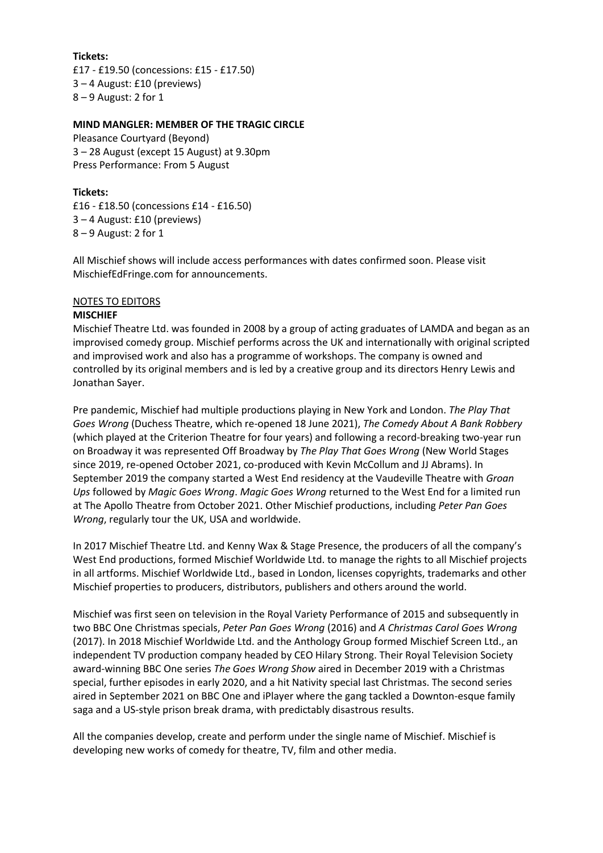**Tickets:** £17 - £19.50 (concessions: £15 - £17.50) 3 – 4 August: £10 (previews) 8 – 9 August: 2 for 1

## **MIND MANGLER: MEMBER OF THE TRAGIC CIRCLE**

Pleasance Courtyard (Beyond) 3 – 28 August (except 15 August) at 9.30pm Press Performance: From 5 August

## **Tickets:**

£16 - £18.50 (concessions £14 - £16.50) 3 – 4 August: £10 (previews) 8 – 9 August: 2 for 1

All Mischief shows will include access performances with dates confirmed soon. Please visit MischiefEdFringe.com for announcements.

## NOTES TO EDITORS

## **MISCHIEF**

Mischief Theatre Ltd. was founded in 2008 by a group of acting graduates of LAMDA and began as an improvised comedy group. Mischief performs across the UK and internationally with original scripted and improvised work and also has a programme of workshops. The company is owned and controlled by its original members and is led by a creative group and its directors Henry Lewis and Jonathan Sayer.

Pre pandemic, Mischief had multiple productions playing in New York and London. *The Play That Goes Wrong* (Duchess Theatre, which re-opened 18 June 2021), *The Comedy About A Bank Robbery* (which played at the Criterion Theatre for four years) and following a record-breaking two-year run on Broadway it was represented Off Broadway by *The Play That Goes Wrong* (New World Stages since 2019, re-opened October 2021, co-produced with Kevin McCollum and JJ Abrams). In September 2019 the company started a West End residency at the Vaudeville Theatre with *Groan Ups* followed by *Magic Goes Wrong*. *Magic Goes Wrong* returned to the West End for a limited run at The Apollo Theatre from October 2021. Other Mischief productions, including *Peter Pan Goes Wrong*, regularly tour the UK, USA and worldwide.

In 2017 Mischief Theatre Ltd. and Kenny Wax & Stage Presence, the producers of all the company's West End productions, formed Mischief Worldwide Ltd. to manage the rights to all Mischief projects in all artforms. Mischief Worldwide Ltd., based in London, licenses copyrights, trademarks and other Mischief properties to producers, distributors, publishers and others around the world.

Mischief was first seen on television in the Royal Variety Performance of 2015 and subsequently in two BBC One Christmas specials, *Peter Pan Goes Wrong* (2016) and *A Christmas Carol Goes Wrong* (2017). In 2018 Mischief Worldwide Ltd. and the Anthology Group formed Mischief Screen Ltd., an independent TV production company headed by CEO Hilary Strong. Their Royal Television Society award-winning BBC One series *The Goes Wrong Show* aired in December 2019 with a Christmas special, further episodes in early 2020, and a hit Nativity special last Christmas. The second series aired in September 2021 on BBC One and iPlayer where the gang tackled a Downton-esque family saga and a US-style prison break drama, with predictably disastrous results.

All the companies develop, create and perform under the single name of Mischief. Mischief is developing new works of comedy for theatre, TV, film and other media.